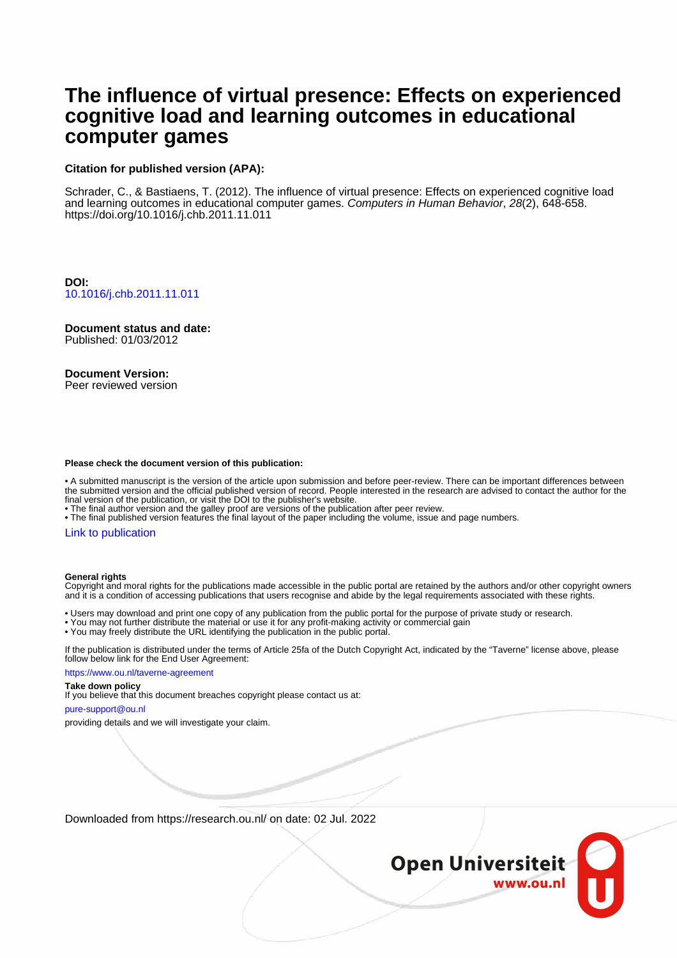# **The influence of virtual presence: Effects on experienced cognitive load and learning outcomes in educational computer games**

## **Citation for published version (APA):**

Schrader, C., & Bastiaens, T. (2012). The influence of virtual presence: Effects on experienced cognitive load and learning outcomes in educational computer games. Computers in Human Behavior, 28(2), 648-658. <https://doi.org/10.1016/j.chb.2011.11.011>

**DOI:** [10.1016/j.chb.2011.11.011](https://doi.org/10.1016/j.chb.2011.11.011)

**Document status and date:** Published: 01/03/2012

# **Document Version:**

Peer reviewed version

#### **Please check the document version of this publication:**

• A submitted manuscript is the version of the article upon submission and before peer-review. There can be important differences between the submitted version and the official published version of record. People interested in the research are advised to contact the author for the final version of the publication, or visit the DOI to the publisher's website.

• The final author version and the galley proof are versions of the publication after peer review.

• The final published version features the final layout of the paper including the volume, issue and page numbers.

### [Link to publication](https://research.ou.nl/en/publications/b266d161-1ead-4a2e-a777-1762812d7792)

#### **General rights**

Copyright and moral rights for the publications made accessible in the public portal are retained by the authors and/or other copyright owners and it is a condition of accessing publications that users recognise and abide by the legal requirements associated with these rights.

• Users may download and print one copy of any publication from the public portal for the purpose of private study or research.

- You may not further distribute the material or use it for any profit-making activity or commercial gain
- You may freely distribute the URL identifying the publication in the public portal.

If the publication is distributed under the terms of Article 25fa of the Dutch Copyright Act, indicated by the "Taverne" license above, please follow below link for the End User Agreement:

https://www.ou.nl/taverne-agreement

#### **Take down policy**

If you believe that this document breaches copyright please contact us at:

pure-support@ou.nl

providing details and we will investigate your claim.

Downloaded from https://research.ou.nl/ on date: 02 Jul. 2022